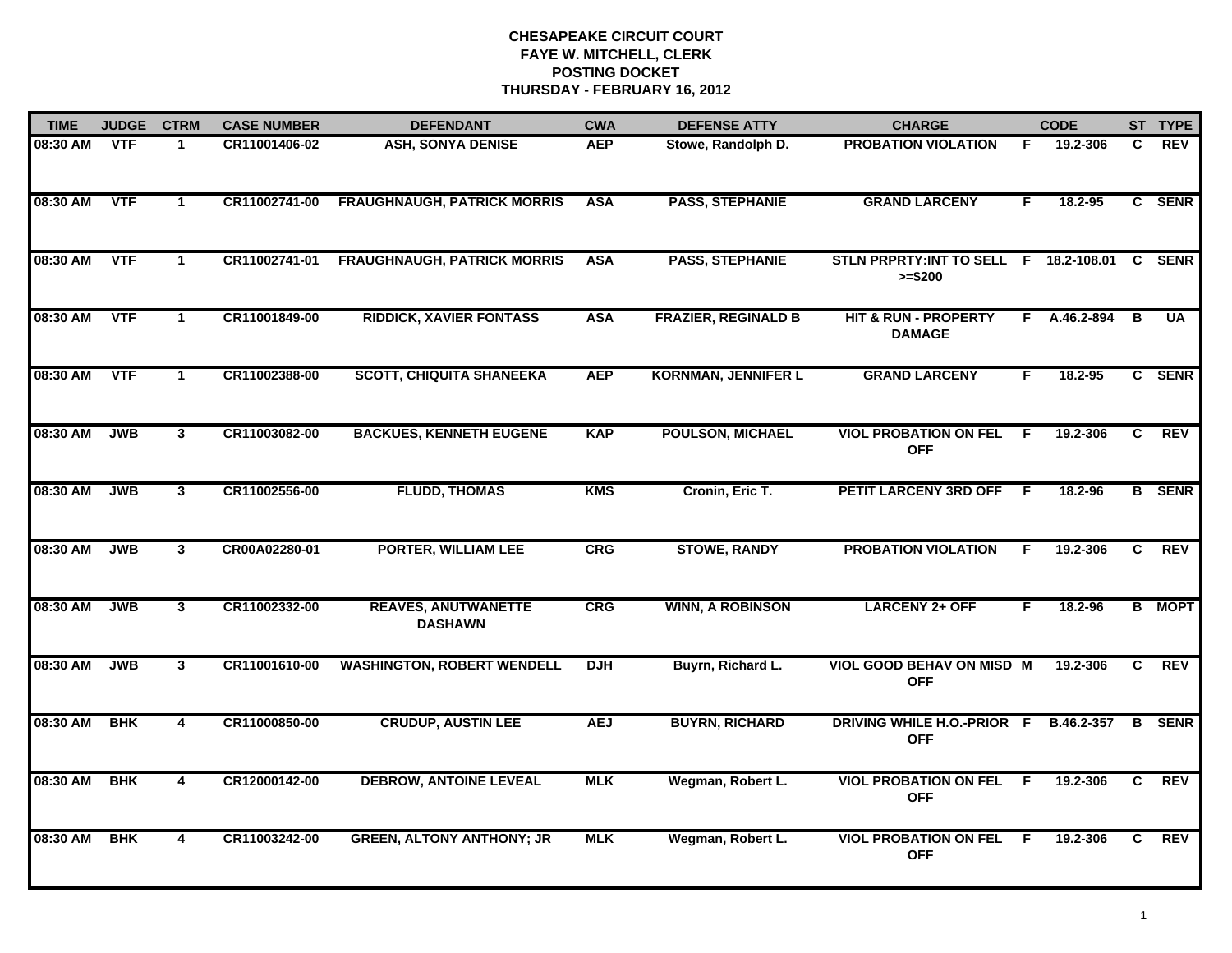| <b>TIME</b> | <b>JUDGE</b> | <b>CTRM</b>          | <b>CASE NUMBER</b> | <b>DEFENDANT</b>                             | <b>CWA</b> | <b>DEFENSE ATTY</b>        | <b>CHARGE</b>                                       |    | <b>CODE</b> |    | ST TYPE       |
|-------------|--------------|----------------------|--------------------|----------------------------------------------|------------|----------------------------|-----------------------------------------------------|----|-------------|----|---------------|
| 08:30 AM    | <b>VTF</b>   | $\mathbf 1$          | CR11001406-02      | <b>ASH, SONYA DENISE</b>                     | <b>AEP</b> | Stowe, Randolph D.         | <b>PROBATION VIOLATION</b>                          | F. | 19.2-306    | C. | REV           |
| 08:30 AM    | <b>VTF</b>   | $\blacktriangleleft$ | CR11002741-00      | <b>FRAUGHNAUGH, PATRICK MORRIS</b>           | <b>ASA</b> | <b>PASS, STEPHANIE</b>     | <b>GRAND LARCENY</b>                                | F  | 18.2-95     |    | C SENR        |
| 08:30 AM    | <b>VTF</b>   | $\mathbf 1$          | CR11002741-01      | <b>FRAUGHNAUGH, PATRICK MORRIS</b>           | <b>ASA</b> | <b>PASS, STEPHANIE</b>     | STLN PRPRTY: INT TO SELL F 18.2-108.01<br>$>= $200$ |    |             | C  | <b>SENR</b>   |
| 08:30 AM    | <b>VTF</b>   | $\mathbf 1$          | CR11001849-00      | <b>RIDDICK, XAVIER FONTASS</b>               | <b>ASA</b> | <b>FRAZIER, REGINALD B</b> | <b>HIT &amp; RUN - PROPERTY</b><br><b>DAMAGE</b>    | F. | A.46.2-894  | B  | <b>UA</b>     |
| 08:30 AM    | <b>VTF</b>   | 1                    | CR11002388-00      | <b>SCOTT, CHIQUITA SHANEEKA</b>              | <b>AEP</b> | <b>KORNMAN, JENNIFER L</b> | <b>GRAND LARCENY</b>                                | F  | $18.2 - 95$ |    | C SENR        |
| 08:30 AM    | <b>JWB</b>   | $3^{\circ}$          | CR11003082-00      | <b>BACKUES, KENNETH EUGENE</b>               | <b>KAP</b> | <b>POULSON, MICHAEL</b>    | <b>VIOL PROBATION ON FEL</b><br><b>OFF</b>          | F. | 19.2-306    | C  | <b>REV</b>    |
| 08:30 AM    | <b>JWB</b>   | $\mathbf{3}$         | CR11002556-00      | <b>FLUDD, THOMAS</b>                         | <b>KMS</b> | Cronin, Eric T.            | PETIT LARCENY 3RD OFF                               | -F | 18.2-96     | B  | <b>SENR</b>   |
| 08:30 AM    | <b>JWB</b>   | $\mathbf{3}$         | CR00A02280-01      | <b>PORTER, WILLIAM LEE</b>                   | <b>CRG</b> | <b>STOWE, RANDY</b>        | <b>PROBATION VIOLATION</b>                          | F  | 19.2-306    | C  | <b>REV</b>    |
| 08:30 AM    | <b>JWB</b>   | 3                    | CR11002332-00      | <b>REAVES, ANUTWANETTE</b><br><b>DASHAWN</b> | <b>CRG</b> | <b>WINN, A ROBINSON</b>    | <b>LARCENY 2+ OFF</b>                               | F  | 18.2-96     |    | <b>B</b> MOPT |
| 08:30 AM    | <b>JWB</b>   | $\mathbf{3}$         | CR11001610-00      | <b>WASHINGTON, ROBERT WENDELL</b>            | <b>DJH</b> | Buyrn, Richard L.          | VIOL GOOD BEHAV ON MISD M<br><b>OFF</b>             |    | 19.2-306    | C. | <b>REV</b>    |
| 08:30 AM    | <b>BHK</b>   | 4                    | CR11000850-00      | <b>CRUDUP, AUSTIN LEE</b>                    | <b>AEJ</b> | <b>BUYRN, RICHARD</b>      | DRIVING WHILE H.O.-PRIOR F<br><b>OFF</b>            |    | B.46.2-357  | В  | <b>SENR</b>   |
| 08:30 AM    | <b>BHK</b>   | $\overline{4}$       | CR12000142-00      | <b>DEBROW, ANTOINE LEVEAL</b>                | <b>MLK</b> | Wegman, Robert L.          | <b>VIOL PROBATION ON FEL</b><br><b>OFF</b>          | F. | 19.2-306    | C  | <b>REV</b>    |
| 08:30 AM    | <b>BHK</b>   | 4                    | CR11003242-00      | <b>GREEN, ALTONY ANTHONY; JR</b>             | <b>MLK</b> | Wegman, Robert L.          | <b>VIOL PROBATION ON FEL</b><br><b>OFF</b>          | -F | 19.2-306    | C. | <b>REV</b>    |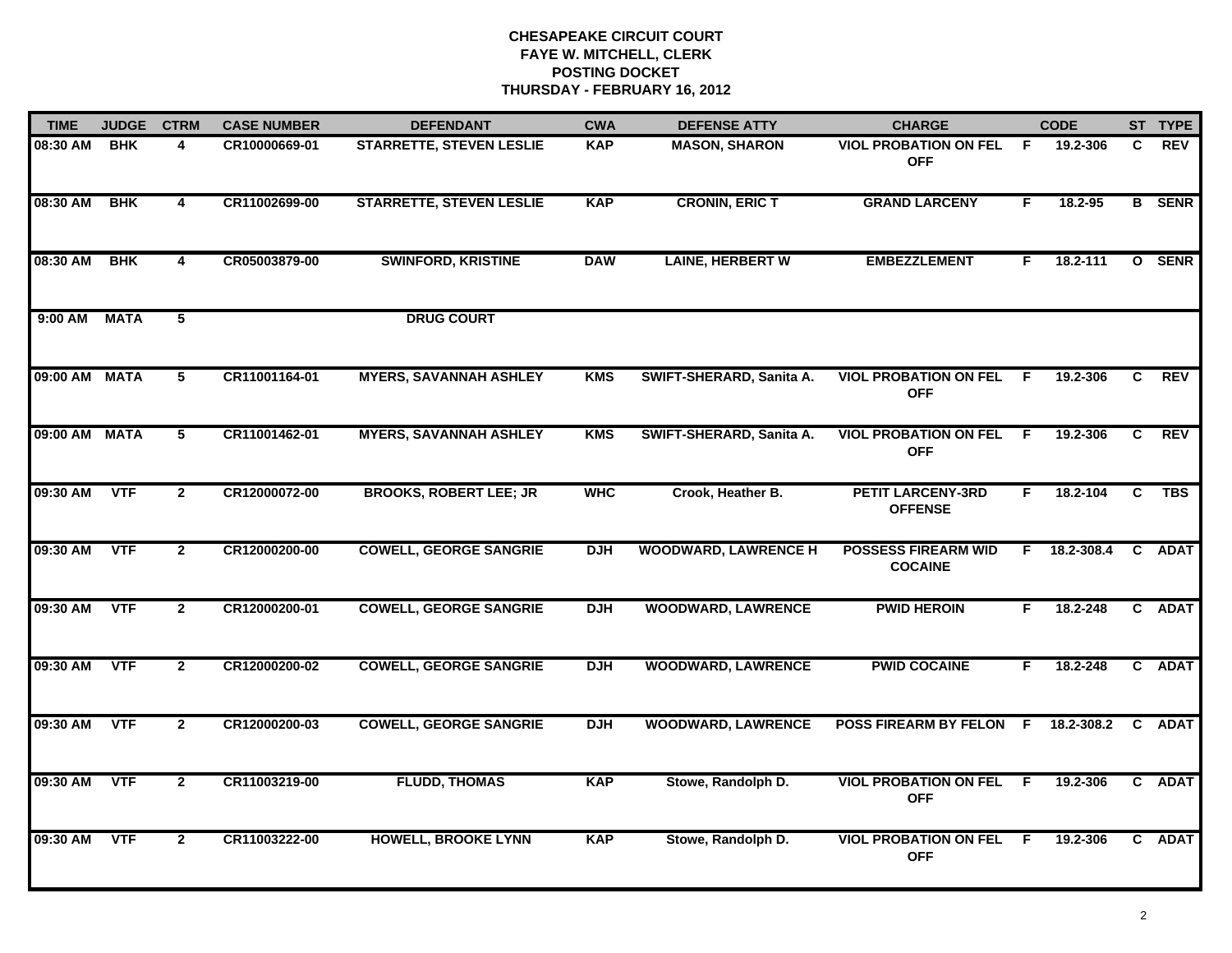| <b>TIME</b>   | <b>JUDGE</b> | <b>CTRM</b>    | <b>CASE NUMBER</b> | <b>DEFENDANT</b>                | <b>CWA</b> | <b>DEFENSE ATTY</b>         | <b>CHARGE</b>                                |     | <b>CODE</b> |                | ST TYPE       |
|---------------|--------------|----------------|--------------------|---------------------------------|------------|-----------------------------|----------------------------------------------|-----|-------------|----------------|---------------|
| 08:30 AM      | <b>BHK</b>   | 4              | CR10000669-01      | <b>STARRETTE, STEVEN LESLIE</b> | <b>KAP</b> | <b>MASON, SHARON</b>        | <b>VIOL PROBATION ON FEL</b><br><b>OFF</b>   | - F | 19.2-306    | C.             | <b>REV</b>    |
| 08:30 AM      | <b>BHK</b>   | 4              | CR11002699-00      | <b>STARRETTE, STEVEN LESLIE</b> | <b>KAP</b> | <b>CRONIN, ERIC T</b>       | <b>GRAND LARCENY</b>                         | F   | 18.2-95     |                | <b>B</b> SENR |
| 08:30 AM      | <b>BHK</b>   | 4              | CR05003879-00      | <b>SWINFORD, KRISTINE</b>       | <b>DAW</b> | <b>LAINE, HERBERT W</b>     | <b>EMBEZZLEMENT</b>                          | F.  | 18.2-111    |                | O SENR        |
| 9:00 AM       | <b>MATA</b>  | 5              |                    | <b>DRUG COURT</b>               |            |                             |                                              |     |             |                |               |
| 09:00 AM MATA |              | 5              | CR11001164-01      | <b>MYERS, SAVANNAH ASHLEY</b>   | <b>KMS</b> | SWIFT-SHERARD, Sanita A.    | <b>VIOL PROBATION ON FEL</b><br><b>OFF</b>   | -F  | 19.2-306    | C              | <b>REV</b>    |
| 09:00 AM MATA |              | 5              | CR11001462-01      | <b>MYERS, SAVANNAH ASHLEY</b>   | <b>KMS</b> | SWIFT-SHERARD, Sanita A.    | <b>VIOL PROBATION ON FEL</b><br><b>OFF</b>   | - F | 19.2-306    | C.             | REV           |
| 09:30 AM      | <b>VTF</b>   | $\overline{2}$ | CR12000072-00      | <b>BROOKS, ROBERT LEE; JR</b>   | <b>WHC</b> | Crook, Heather B.           | <b>PETIT LARCENY-3RD</b><br><b>OFFENSE</b>   | F.  | 18.2-104    | $\overline{c}$ | <b>TBS</b>    |
| 09:30 AM      | <b>VTF</b>   | $\overline{2}$ | CR12000200-00      | <b>COWELL, GEORGE SANGRIE</b>   | <b>DJH</b> | <b>WOODWARD, LAWRENCE H</b> | <b>POSSESS FIREARM WID</b><br><b>COCAINE</b> | F.  | 18.2-308.4  |                | C ADAT        |
| 09:30 AM      | <b>VTF</b>   | $\mathbf{2}$   | CR12000200-01      | <b>COWELL, GEORGE SANGRIE</b>   | <b>DJH</b> | <b>WOODWARD, LAWRENCE</b>   | <b>PWID HEROIN</b>                           | F.  | 18.2-248    |                | C ADAT        |
| 09:30 AM      | <b>VTF</b>   | $\overline{2}$ | CR12000200-02      | <b>COWELL, GEORGE SANGRIE</b>   | <b>DJH</b> | <b>WOODWARD, LAWRENCE</b>   | <b>PWID COCAINE</b>                          | F.  | 18.2-248    |                | C ADAT        |
| 09:30 AM      | <b>VTF</b>   | $\mathbf{2}$   | CR12000200-03      | <b>COWELL, GEORGE SANGRIE</b>   | <b>DJH</b> | <b>WOODWARD, LAWRENCE</b>   | POSS FIREARM BY FELON F                      |     | 18.2-308.2  | C.             | <b>ADAT</b>   |
| 09:30 AM      | <b>VTF</b>   | $\overline{2}$ | CR11003219-00      | <b>FLUDD, THOMAS</b>            | <b>KAP</b> | Stowe, Randolph D.          | <b>VIOL PROBATION ON FEL</b><br><b>OFF</b>   | F.  | 19.2-306    |                | C ADAT        |
| 09:30 AM      | <b>VTF</b>   | $\mathbf{2}$   | CR11003222-00      | <b>HOWELL, BROOKE LYNN</b>      | <b>KAP</b> | Stowe, Randolph D.          | <b>VIOL PROBATION ON FEL</b><br><b>OFF</b>   | -F  | 19.2-306    |                | C ADAT        |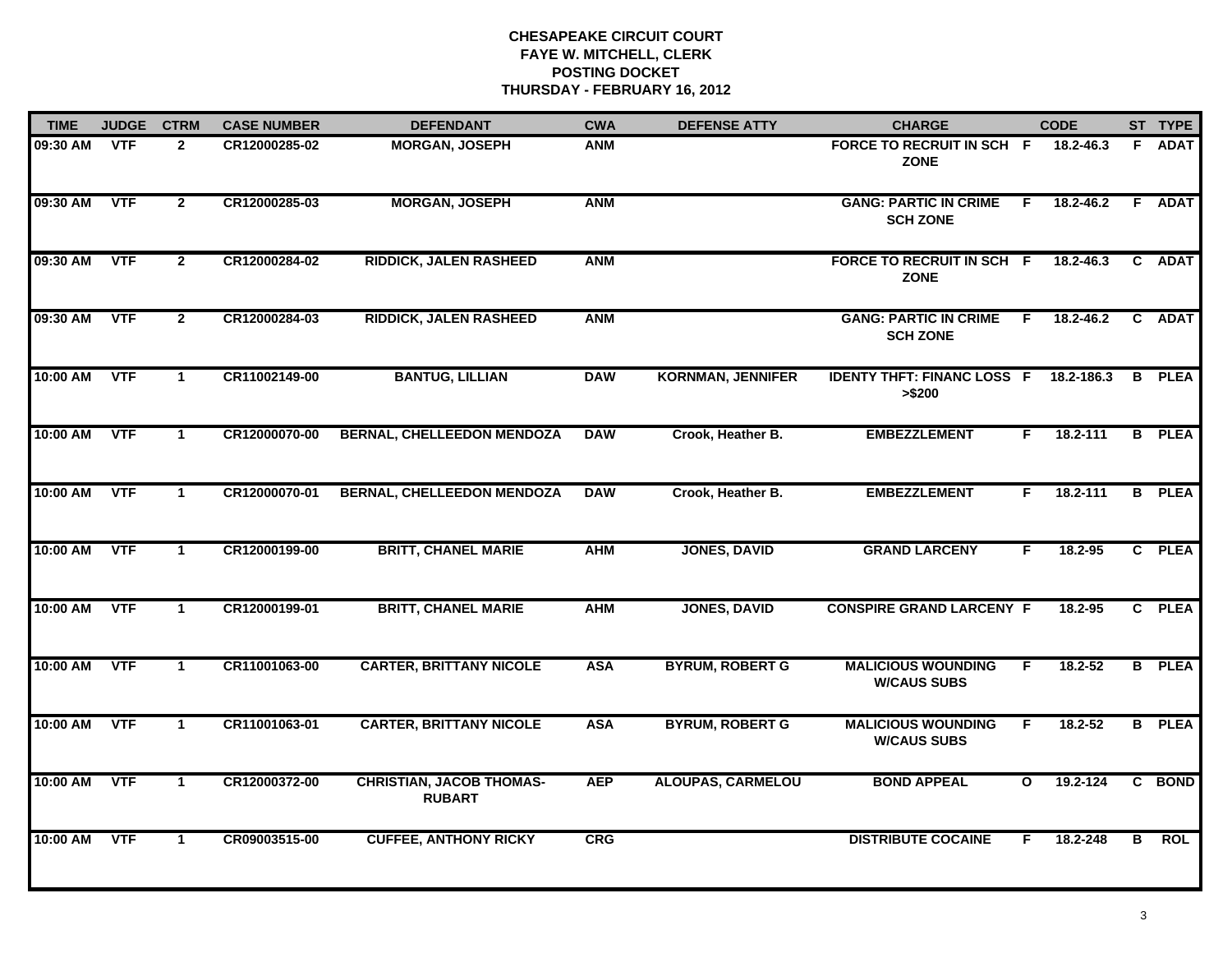| <b>TIME</b> | <b>JUDGE</b> | <b>CTRM</b>  | <b>CASE NUMBER</b> | <b>DEFENDANT</b>                                 | <b>CWA</b> | <b>DEFENSE ATTY</b>      | <b>CHARGE</b>                                   |                | <b>CODE</b>   |    | ST TYPE       |
|-------------|--------------|--------------|--------------------|--------------------------------------------------|------------|--------------------------|-------------------------------------------------|----------------|---------------|----|---------------|
| 09:30 AM    | <b>VTF</b>   | $\mathbf{2}$ | CR12000285-02      | <b>MORGAN, JOSEPH</b>                            | <b>ANM</b> |                          | FORCE TO RECRUIT IN SCH F<br><b>ZONE</b>        |                | 18.2-46.3     | F. | <b>ADAT</b>   |
| 09:30 AM    | <b>VTF</b>   | $\mathbf{2}$ | CR12000285-03      | <b>MORGAN, JOSEPH</b>                            | <b>ANM</b> |                          | <b>GANG: PARTIC IN CRIME</b><br><b>SCH ZONE</b> | $\overline{F}$ | $18.2 - 46.2$ |    | F ADAT        |
| 09:30 AM    | <b>VTF</b>   | $\mathbf{2}$ | CR12000284-02      | <b>RIDDICK, JALEN RASHEED</b>                    | <b>ANM</b> |                          | FORCE TO RECRUIT IN SCH F<br><b>ZONE</b>        |                | 18.2-46.3     |    | C ADAT        |
| 09:30 AM    | <b>VTF</b>   | $\mathbf{2}$ | CR12000284-03      | <b>RIDDICK, JALEN RASHEED</b>                    | <b>ANM</b> |                          | <b>GANG: PARTIC IN CRIME</b><br><b>SCH ZONE</b> | -F.            | 18.2-46.2     |    | C ADAT        |
| 10:00 AM    | <b>VTF</b>   | $\mathbf 1$  | CR11002149-00      | <b>BANTUG, LILLIAN</b>                           | <b>DAW</b> | <b>KORNMAN, JENNIFER</b> | <b>IDENTY THFT: FINANC LOSS F</b><br>> \$200    |                | 18.2-186.3    |    | <b>B</b> PLEA |
| 10:00 AM    | <b>VTF</b>   | $\mathbf 1$  | CR12000070-00      | <b>BERNAL, CHELLEEDON MENDOZA</b>                | <b>DAW</b> | Crook, Heather B.        | <b>EMBEZZLEMENT</b>                             | F.             | 18.2-111      |    | <b>B</b> PLEA |
| 10:00 AM    | VTF          | $\mathbf{1}$ | CR12000070-01      | <b>BERNAL, CHELLEEDON MENDOZA</b>                | <b>DAW</b> | Crook, Heather B.        | <b>EMBEZZLEMENT</b>                             | F.             | 18.2-111      |    | <b>B</b> PLEA |
| 10:00 AM    | <b>VTF</b>   | $\mathbf 1$  | CR12000199-00      | <b>BRITT, CHANEL MARIE</b>                       | <b>AHM</b> | <b>JONES, DAVID</b>      | <b>GRAND LARCENY</b>                            | F              | 18.2-95       |    | C PLEA        |
| 10:00 AM    | <b>VTF</b>   | $\mathbf 1$  | CR12000199-01      | <b>BRITT, CHANEL MARIE</b>                       | <b>AHM</b> | <b>JONES, DAVID</b>      | <b>CONSPIRE GRAND LARCENY F</b>                 |                | 18.2-95       |    | C PLEA        |
| 10:00 AM    | <b>VTF</b>   | $\mathbf 1$  | CR11001063-00      | <b>CARTER, BRITTANY NICOLE</b>                   | <b>ASA</b> | <b>BYRUM, ROBERT G</b>   | <b>MALICIOUS WOUNDING</b><br><b>W/CAUS SUBS</b> | F.             | $18.2 - 52$   |    | <b>B</b> PLEA |
| 10:00 AM    | <b>VTF</b>   | $\mathbf 1$  | CR11001063-01      | <b>CARTER, BRITTANY NICOLE</b>                   | <b>ASA</b> | <b>BYRUM, ROBERT G</b>   | <b>MALICIOUS WOUNDING</b><br><b>W/CAUS SUBS</b> | F.             | 18.2-52       |    | <b>B</b> PLEA |
| 10:00 AM    | <b>VTF</b>   | $\mathbf 1$  | CR12000372-00      | <b>CHRISTIAN, JACOB THOMAS-</b><br><b>RUBART</b> | <b>AEP</b> | <b>ALOUPAS, CARMELOU</b> | <b>BOND APPEAL</b>                              | $\mathbf{o}$   | 19.2-124      |    | C BOND        |
| 10:00 AM    | <b>VTF</b>   | $\mathbf{1}$ | CR09003515-00      | <b>CUFFEE, ANTHONY RICKY</b>                     | CRG        |                          | <b>DISTRIBUTE COCAINE</b>                       | F.             | 18.2-248      | в  | <b>ROL</b>    |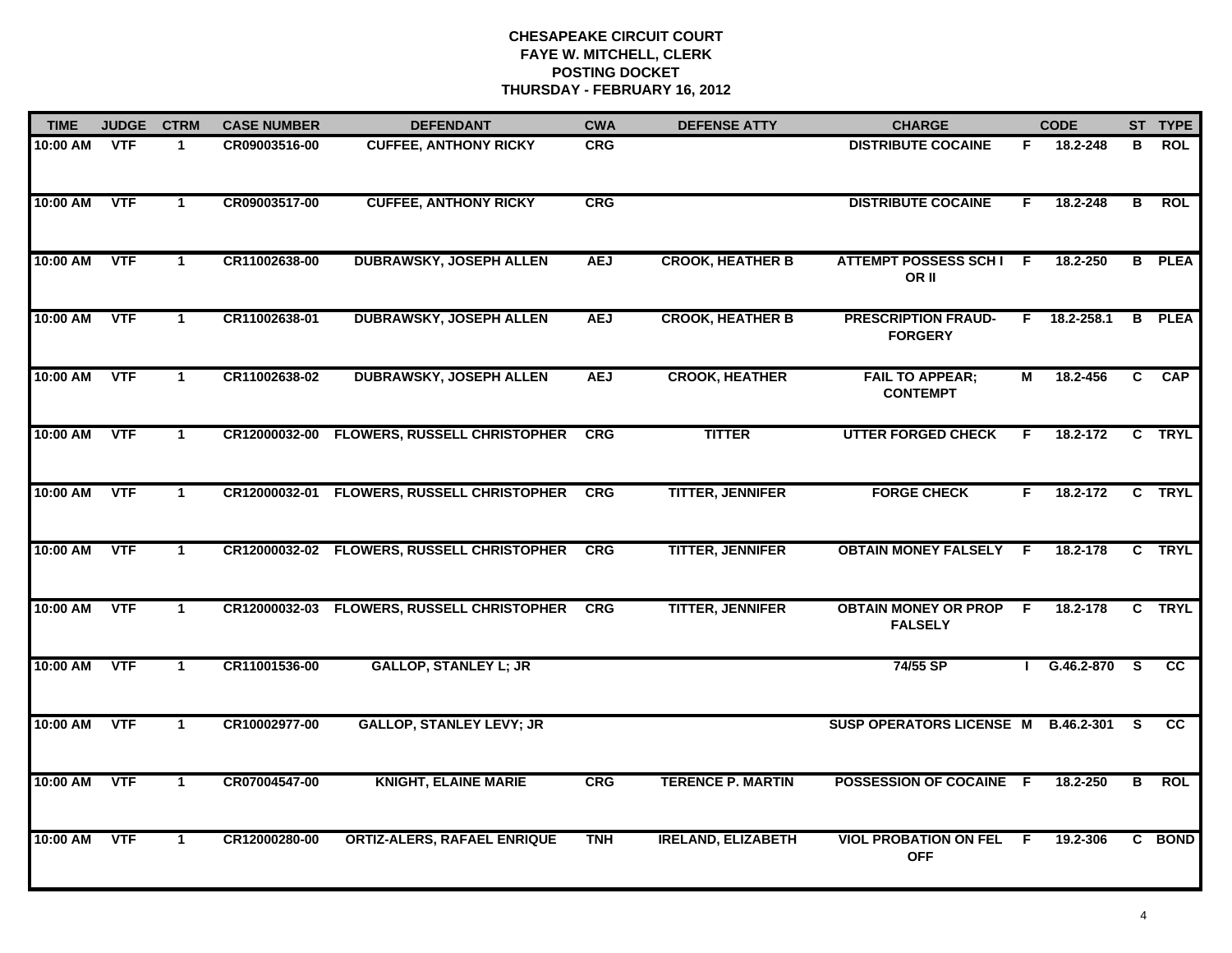| <b>TIME</b> | JUDGE CTRM |              | <b>CASE NUMBER</b> | <b>DEFENDANT</b>                           | <b>CWA</b> | <b>DEFENSE ATTY</b>       | <b>CHARGE</b>                                 |    | <b>CODE</b>       |                | ST TYPE       |
|-------------|------------|--------------|--------------------|--------------------------------------------|------------|---------------------------|-----------------------------------------------|----|-------------------|----------------|---------------|
| 10:00 AM    | <b>VTF</b> | 1            | CR09003516-00      | <b>CUFFEE, ANTHONY RICKY</b>               | <b>CRG</b> |                           | <b>DISTRIBUTE COCAINE</b>                     | F. | 18.2-248          | в              | <b>ROL</b>    |
| 10:00 AM    | <b>VTF</b> | $\mathbf{1}$ | CR09003517-00      | <b>CUFFEE, ANTHONY RICKY</b>               | <b>CRG</b> |                           | <b>DISTRIBUTE COCAINE</b>                     | F. | 18.2-248          | $\overline{B}$ | <b>ROL</b>    |
| 10:00 AM    | <b>VTF</b> | $\mathbf 1$  | CR11002638-00      | <b>DUBRAWSKY, JOSEPH ALLEN</b>             | <b>AEJ</b> | <b>CROOK, HEATHER B</b>   | <b>ATTEMPT POSSESS SCHI F</b><br>OR II        |    | 18.2-250          |                | <b>B</b> PLEA |
| 10:00 AM    | <b>VTF</b> | 1            | CR11002638-01      | <b>DUBRAWSKY, JOSEPH ALLEN</b>             | <b>AEJ</b> | <b>CROOK, HEATHER B</b>   | <b>PRESCRIPTION FRAUD-</b><br><b>FORGERY</b>  |    | F 18.2-258.1      |                | <b>B</b> PLEA |
| 10:00 AM    | <b>VTF</b> | $\mathbf 1$  | CR11002638-02      | <b>DUBRAWSKY, JOSEPH ALLEN</b>             | <b>AEJ</b> | <b>CROOK, HEATHER</b>     | <b>FAIL TO APPEAR;</b><br><b>CONTEMPT</b>     | м  | 18.2-456          | $\overline{c}$ | <b>CAP</b>    |
| 10:00 AM    | <b>VTF</b> | $\mathbf{1}$ |                    | CR12000032-00 FLOWERS, RUSSELL CHRISTOPHER | <b>CRG</b> | <b>TITTER</b>             | <b>UTTER FORGED CHECK</b>                     | F. | 18.2-172          | C.             | <b>TRYL</b>   |
| 10:00 AM    | <b>VTF</b> | $\mathbf 1$  | CR12000032-01      | <b>FLOWERS, RUSSELL CHRISTOPHER</b>        | <b>CRG</b> | <b>TITTER, JENNIFER</b>   | <b>FORGE CHECK</b>                            | F. | 18.2-172          |                | C TRYL        |
| 10:00 AM    | <b>VTF</b> | $\mathbf 1$  |                    | CR12000032-02 FLOWERS, RUSSELL CHRISTOPHER | CRG        | <b>TITTER, JENNIFER</b>   | <b>OBTAIN MONEY FALSELY F</b>                 |    | 18.2-178          |                | C TRYL        |
| 10:00 AM    | <b>VTF</b> | $\mathbf 1$  | CR12000032-03      | <b>FLOWERS, RUSSELL CHRISTOPHER</b>        | <b>CRG</b> | <b>TITTER, JENNIFER</b>   | <b>OBTAIN MONEY OR PROP</b><br><b>FALSELY</b> | -F | 18.2-178          |                | C TRYL        |
| 10:00 AM    | <b>VTF</b> | $\mathbf{1}$ | CR11001536-00      | <b>GALLOP, STANLEY L; JR</b>               |            |                           | 74/55 SP                                      |    | $IG.46.2-870 S$   |                | <b>CC</b>     |
| 10:00 AM    | <b>VTF</b> | $\mathbf 1$  | CR10002977-00      | <b>GALLOP, STANLEY LEVY; JR</b>            |            |                           | <b>SUSP OPERATORS LICENSE M</b>               |    | <b>B.46.2-301</b> | <b>S</b>       | <b>CC</b>     |
| 10:00 AM    | <b>VTF</b> | $\mathbf 1$  | CR07004547-00      | <b>KNIGHT, ELAINE MARIE</b>                | <b>CRG</b> | <b>TERENCE P. MARTIN</b>  | POSSESSION OF COCAINE F                       |    | 18.2-250          | $\overline{B}$ | <b>ROL</b>    |
| 10:00 AM    | <b>VTF</b> | 1            | CR12000280-00      | <b>ORTIZ-ALERS, RAFAEL ENRIQUE</b>         | <b>TNH</b> | <b>IRELAND, ELIZABETH</b> | <b>VIOL PROBATION ON FEL</b><br><b>OFF</b>    | -F | 19.2-306          | C.             | <b>BOND</b>   |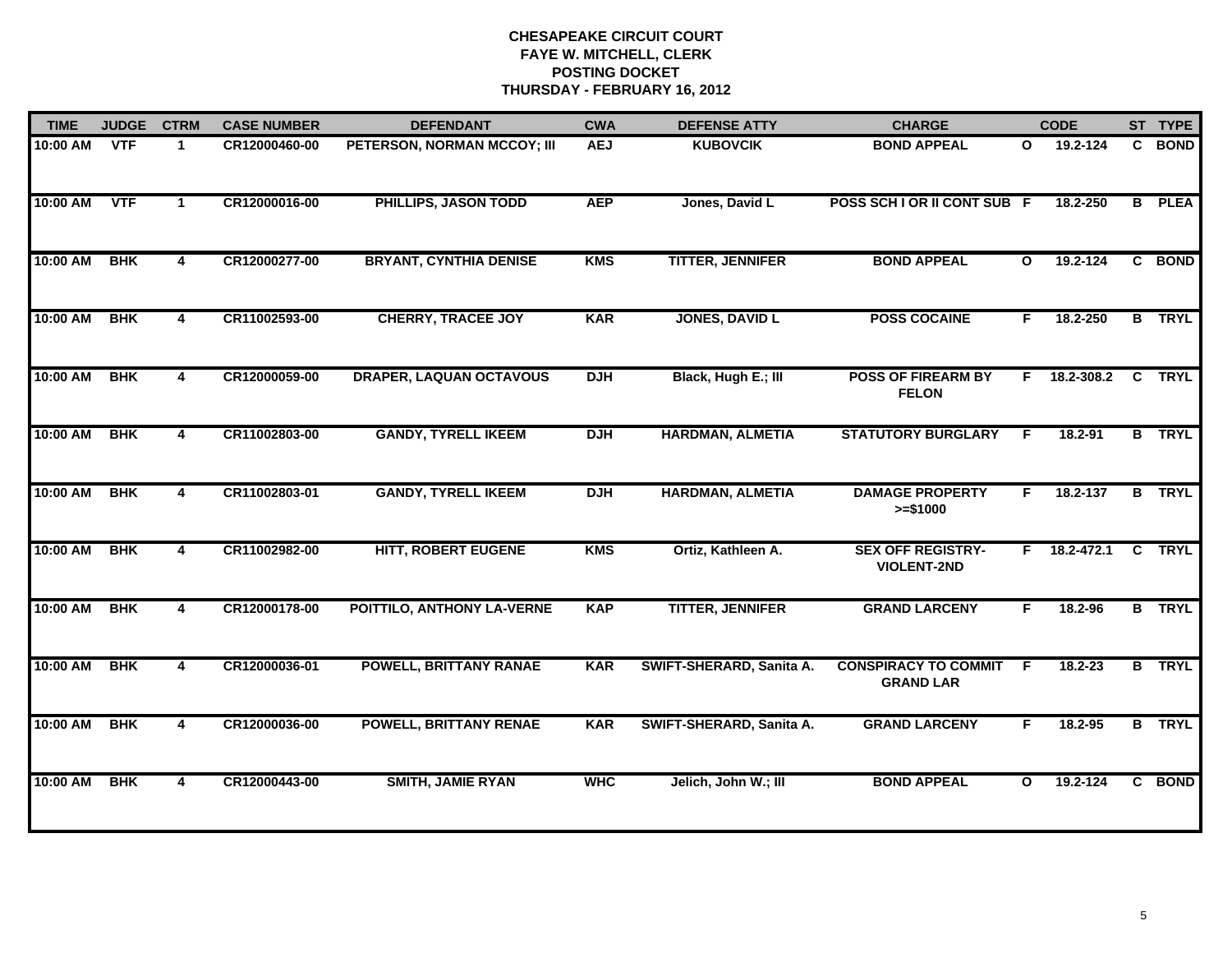| <b>TIME</b> | <b>JUDGE</b> | <b>CTRM</b>             | <b>CASE NUMBER</b> | <b>DEFENDANT</b>               | <b>CWA</b> | <b>DEFENSE ATTY</b>      | <b>CHARGE</b>                                   |              | <b>CODE</b>    |                | ST TYPE       |
|-------------|--------------|-------------------------|--------------------|--------------------------------|------------|--------------------------|-------------------------------------------------|--------------|----------------|----------------|---------------|
| $10:00$ AM  | <b>VTF</b>   | $\mathbf{1}$            | CR12000460-00      | PETERSON, NORMAN MCCOY; III    | <b>AEJ</b> | <b>KUBOVCIK</b>          | <b>BOND APPEAL</b>                              | $\mathbf{o}$ | 19.2-124       |                | C BOND        |
| 10:00 AM    | <b>VTF</b>   | 1                       | CR12000016-00      | PHILLIPS, JASON TODD           | <b>AEP</b> | Jones, David L           | POSS SCH I OR II CONT SUB F                     |              | 18.2-250       | B              | <b>PLEA</b>   |
| 10:00 AM    | <b>BHK</b>   | 4                       | CR12000277-00      | <b>BRYANT, CYNTHIA DENISE</b>  | <b>KMS</b> | <b>TITTER, JENNIFER</b>  | <b>BOND APPEAL</b>                              | $\mathbf{o}$ | 19.2-124       |                | C BOND        |
| 10:00 AM    | <b>BHK</b>   | 4                       | CR11002593-00      | <b>CHERRY, TRACEE JOY</b>      | <b>KAR</b> | <b>JONES, DAVID L</b>    | <b>POSS COCAINE</b>                             | F.           | 18.2-250       |                | <b>B</b> TRYL |
| 10:00 AM    | <b>BHK</b>   | $\overline{\mathbf{4}}$ | CR12000059-00      | <b>DRAPER, LAQUAN OCTAVOUS</b> | <b>DJH</b> | Black, Hugh E.; III      | <b>POSS OF FIREARM BY</b><br><b>FELON</b>       | F.           | 18.2-308.2     | $\mathbf{C}$   | <b>TRYL</b>   |
| 10:00 AM    | <b>BHK</b>   | 4                       | CR11002803-00      | <b>GANDY, TYRELL IKEEM</b>     | <b>DJH</b> | <b>HARDMAN, ALMETIA</b>  | <b>STATUTORY BURGLARY</b>                       | F            | 18.2-91        |                | <b>B</b> TRYL |
| 10:00 AM    | <b>BHK</b>   | 4                       | CR11002803-01      | <b>GANDY, TYRELL IKEEM</b>     | <b>DJH</b> | <b>HARDMAN, ALMETIA</b>  | <b>DAMAGE PROPERTY</b><br>$>= $1000$            | F.           | 18.2-137       |                | <b>B</b> TRYL |
| 10:00 AM    | <b>BHK</b>   | 4                       | CR11002982-00      | <b>HITT, ROBERT EUGENE</b>     | <b>KMS</b> | Ortiz, Kathleen A.       | <b>SEX OFF REGISTRY-</b><br><b>VIOLENT-2ND</b>  |              | $F$ 18.2-472.1 | $\overline{c}$ | <b>TRYL</b>   |
| 10:00 AM    | <b>BHK</b>   | 4                       | CR12000178-00      | POITTILO, ANTHONY LA-VERNE     | <b>KAP</b> | <b>TITTER, JENNIFER</b>  | <b>GRAND LARCENY</b>                            | F.           | 18.2-96        |                | <b>B</b> TRYL |
| 10:00 AM    | <b>BHK</b>   | 4                       | CR12000036-01      | <b>POWELL, BRITTANY RANAE</b>  | <b>KAR</b> | SWIFT-SHERARD, Sanita A. | <b>CONSPIRACY TO COMMIT</b><br><b>GRAND LAR</b> | F.           | $18.2 - 23$    |                | <b>B</b> TRYL |
| 10:00 AM    | <b>BHK</b>   | 4                       | CR12000036-00      | <b>POWELL, BRITTANY RENAE</b>  | <b>KAR</b> | SWIFT-SHERARD, Sanita A. | <b>GRAND LARCENY</b>                            | F.           | 18.2-95        |                | <b>B</b> TRYL |
| 10:00 AM    | <b>BHK</b>   | 4                       | CR12000443-00      | <b>SMITH, JAMIE RYAN</b>       | <b>WHC</b> | Jelich, John W.; III     | <b>BOND APPEAL</b>                              | O            | 19.2-124       |                | C BOND        |